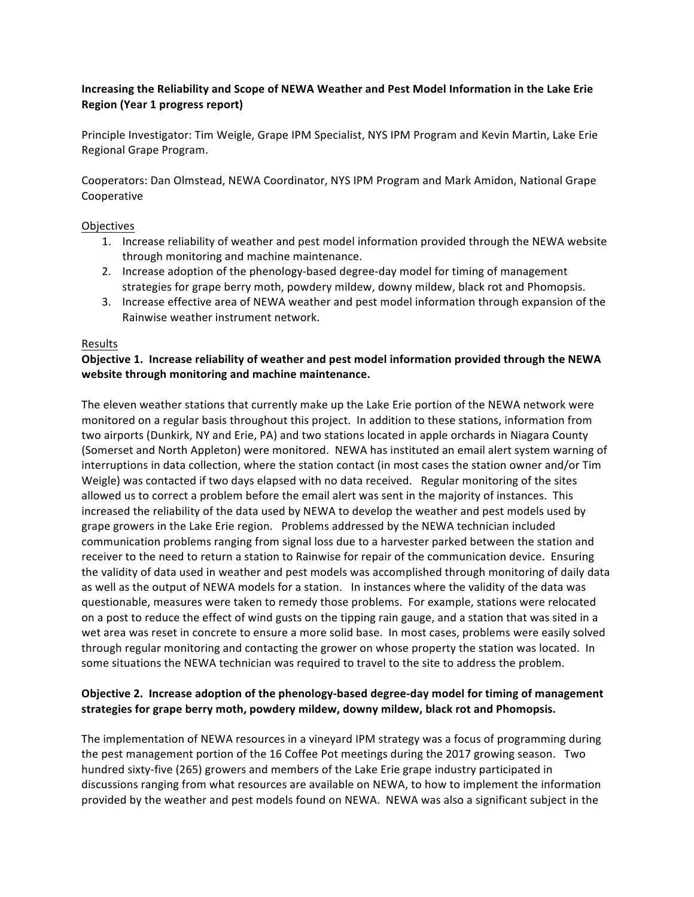# **Increasing the Reliability and Scope of NEWA Weather and Pest Model Information in the Lake Erie Region (Year 1 progress report)**

Principle Investigator: Tim Weigle, Grape IPM Specialist, NYS IPM Program and Kevin Martin, Lake Erie Regional Grape Program.

Cooperators: Dan Olmstead, NEWA Coordinator, NYS IPM Program and Mark Amidon, National Grape Cooperative

### Objectives

- 1. Increase reliability of weather and pest model information provided through the NEWA website through monitoring and machine maintenance.
- 2. Increase adoption of the phenology-based degree-day model for timing of management strategies for grape berry moth, powdery mildew, downy mildew, black rot and Phomopsis.
- 3. Increase effective area of NEWA weather and pest model information through expansion of the Rainwise weather instrument network.

#### Results

### **Objective 1. Increase reliability of weather and pest model information provided through the NEWA** website through monitoring and machine maintenance.

The eleven weather stations that currently make up the Lake Erie portion of the NEWA network were monitored on a regular basis throughout this project. In addition to these stations, information from two airports (Dunkirk, NY and Erie, PA) and two stations located in apple orchards in Niagara County (Somerset and North Appleton) were monitored. NEWA has instituted an email alert system warning of interruptions in data collection, where the station contact (in most cases the station owner and/or Tim Weigle) was contacted if two days elapsed with no data received. Regular monitoring of the sites allowed us to correct a problem before the email alert was sent in the majority of instances. This increased the reliability of the data used by NEWA to develop the weather and pest models used by grape growers in the Lake Erie region. Problems addressed by the NEWA technician included communication problems ranging from signal loss due to a harvester parked between the station and receiver to the need to return a station to Rainwise for repair of the communication device. Ensuring the validity of data used in weather and pest models was accomplished through monitoring of daily data as well as the output of NEWA models for a station. In instances where the validity of the data was questionable, measures were taken to remedy those problems. For example, stations were relocated on a post to reduce the effect of wind gusts on the tipping rain gauge, and a station that was sited in a wet area was reset in concrete to ensure a more solid base. In most cases, problems were easily solved through regular monitoring and contacting the grower on whose property the station was located. In some situations the NEWA technician was required to travel to the site to address the problem.

## **Objective 2. Increase adoption of the phenology-based degree-day model for timing of management** strategies for grape berry moth, powdery mildew, downy mildew, black rot and Phomopsis.

The implementation of NEWA resources in a vineyard IPM strategy was a focus of programming during the pest management portion of the 16 Coffee Pot meetings during the 2017 growing season. Two hundred sixty-five (265) growers and members of the Lake Erie grape industry participated in discussions ranging from what resources are available on NEWA, to how to implement the information provided by the weather and pest models found on NEWA. NEWA was also a significant subject in the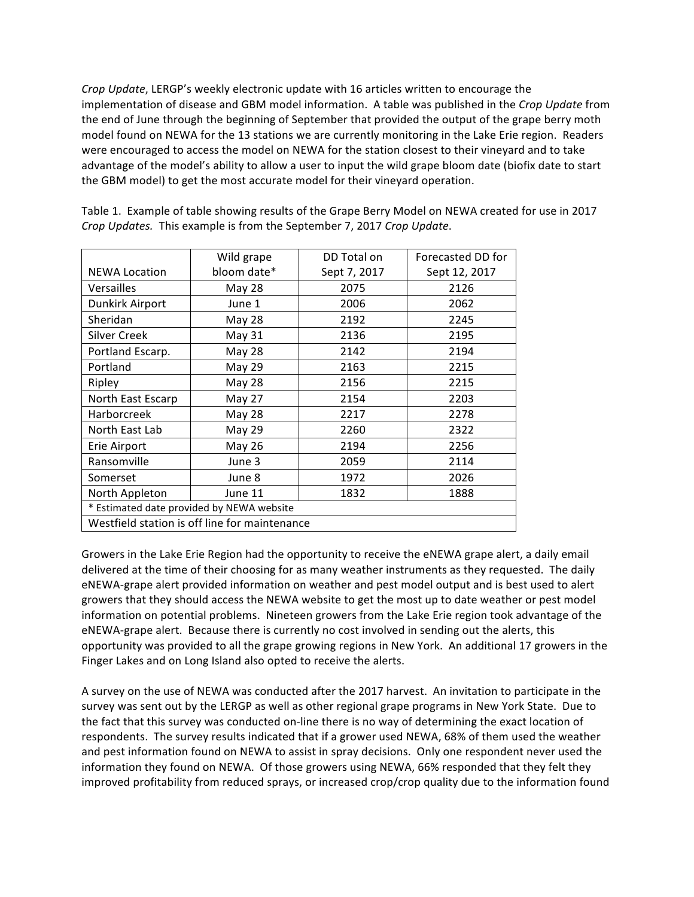*Crop* Update, LERGP's weekly electronic update with 16 articles written to encourage the implementation of disease and GBM model information. A table was published in the Crop Update from the end of June through the beginning of September that provided the output of the grape berry moth model found on NEWA for the 13 stations we are currently monitoring in the Lake Erie region. Readers were encouraged to access the model on NEWA for the station closest to their vineyard and to take advantage of the model's ability to allow a user to input the wild grape bloom date (biofix date to start the GBM model) to get the most accurate model for their vineyard operation.

|                                               | Wild grape    | DD Total on  | Forecasted DD for |
|-----------------------------------------------|---------------|--------------|-------------------|
| <b>NEWA Location</b>                          | bloom date*   | Sept 7, 2017 | Sept 12, 2017     |
| Versailles                                    | <b>May 28</b> | 2075         | 2126              |
| Dunkirk Airport                               | June 1        | 2006         | 2062              |
| Sheridan                                      | <b>May 28</b> | 2192         | 2245              |
| <b>Silver Creek</b>                           | May 31        | 2136         | 2195              |
| Portland Escarp.                              | <b>May 28</b> | 2142         | 2194              |
| Portland                                      | May 29        | 2163         | 2215              |
| Ripley                                        | <b>May 28</b> | 2156         | 2215              |
| North East Escarp                             | May 27        | 2154         | 2203              |
| Harborcreek                                   | <b>May 28</b> | 2217         | 2278              |
| North East Lab                                | May 29        | 2260         | 2322              |
| Erie Airport                                  | May 26        | 2194         | 2256              |
| Ransomville                                   | June 3        | 2059         | 2114              |
| Somerset                                      | June 8        | 1972         | 2026              |
| North Appleton                                | June 11       | 1832         | 1888              |
| * Estimated date provided by NEWA website     |               |              |                   |
| Westfield station is off line for maintenance |               |              |                   |

Table 1. Example of table showing results of the Grape Berry Model on NEWA created for use in 2017 *Crop Updates.* This example is from the September 7, 2017 *Crop Update.* 

Growers in the Lake Erie Region had the opportunity to receive the eNEWA grape alert, a daily email delivered at the time of their choosing for as many weather instruments as they requested. The daily eNEWA-grape alert provided information on weather and pest model output and is best used to alert growers that they should access the NEWA website to get the most up to date weather or pest model information on potential problems. Nineteen growers from the Lake Erie region took advantage of the eNEWA-grape alert. Because there is currently no cost involved in sending out the alerts, this opportunity was provided to all the grape growing regions in New York. An additional 17 growers in the Finger Lakes and on Long Island also opted to receive the alerts.

A survey on the use of NEWA was conducted after the 2017 harvest. An invitation to participate in the survey was sent out by the LERGP as well as other regional grape programs in New York State. Due to the fact that this survey was conducted on-line there is no way of determining the exact location of respondents. The survey results indicated that if a grower used NEWA, 68% of them used the weather and pest information found on NEWA to assist in spray decisions. Only one respondent never used the information they found on NEWA. Of those growers using NEWA, 66% responded that they felt they improved profitability from reduced sprays, or increased crop/crop quality due to the information found